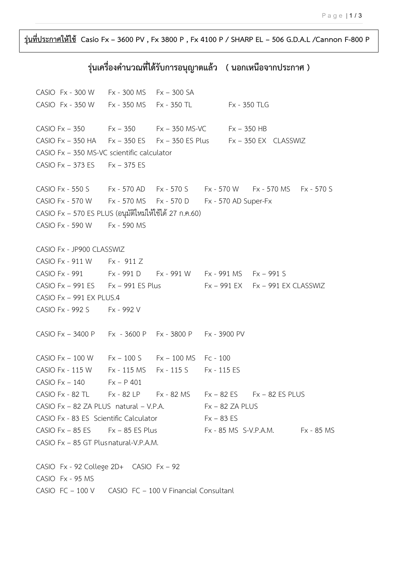**รุ่นที่ประกำศให้ใช้ Casio Fx – 3600 PV , Fx 3800 P , Fx 4100 P / SHARP EL – 506 G.D.A.L /Cannon F-800 P**

## **รุ่นเครื่องค ำนวณที่ได้รับกำรอนุญำตแล้ว ( นอกเหนือจำกประกำศ )**

CASIO Fx - 300 W Fx - 300 MS Fx – 300 SA CASIO Fx - 350 W Fx - 350 MS Fx - 350 TL Fx - 350 TLG CASIO Fx – 350 Fx – 350 Fx – 350 MS-VC Fx – 350 HB CASIO Fx  $-$  350 HA Fx  $-$  350 ES Fx  $-$  350 ES Plus Fx  $-$  350 EX CLASSWIZ CASIO Fx – 350 MS-VC scientific calculator CASIO Fx – 373 ES Fx – 375 ES CASIO Fx - 550 S Fx - 570 AD Fx - 570 S Fx - 570 W Fx - 570 MS Fx - 570 S CASIO Fx - 570 W Fx - 570 MS Fx - 570 D Fx - 570 AD Super-Fx CASIO Fx – 570 ES PLUS (อนุมัติใหม่ให้ใช้ได้ 27 ก.ค.60) CASIO Fx - 590 W Fx - 590 MS CASIO Fx - JP900 CLASSWIZ CASIO Fx - 911 W Fx - 911 Z CASIO Fx - 991 Fx - 991 D Fx - 991 W Fx - 991 MS Fx – 991 S CASIO Fx – 991 ES  $Fx - 991$  ES Plus  $Fx - 991$  EX  $Fx - 991$  EX CLASSWIZ CASIO Fx – 991 EX PLUS.4 CASIO Fx - 992 S Fx - 992 V CASIO Fx – 3400 P Fx - 3600 P Fx - 3800 P Fx - 3900 PV CASIO Fx – 100 W Fx – 100 S Fx – 100 MS Fc - 100 CASIO Fx - 115 W Fx - 115 MS Fx - 115 S Fx - 115 ES CASIO F $x - 140$  F $x - P 401$ CASIO Fx - 82 TL Fx - 82 LP Fx - 82 MS Fx – 82 ES Fx – 82 ES PLUS  $CASIO$  Fx – 82 ZA PLUS natural – V.P.A. Fx – 82 ZA PLUS CASIO Fx - 83 ES Scientific Calculator Fx – 83 ES CASIO  $Fx - 85 ES$   $Fx - 85 ES$  Plus  $Fx - 85 MS$  S-V.P.A.M.  $Fx - 85 MS$ CASIO Fx – 85 GT Plusnatural-V.P.A.M. CASIO Fx - 92 College 2D+ CASIO Fx – 92 CASIO Fx - 95 MS CASIO FC – 100 V CASIO FC – 100 V Financial Consultanl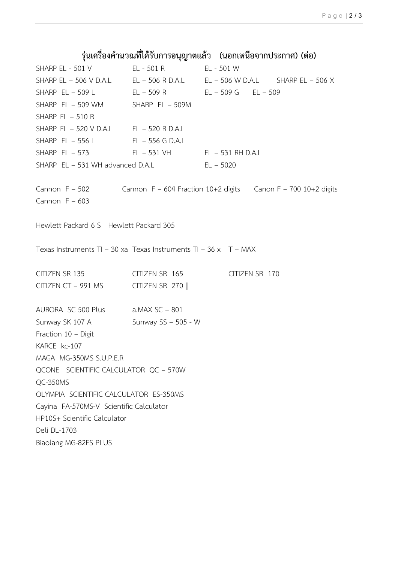## **รุ่นเครื่องค ำนวณที่ได้รับกำรอนุญำตแล้ว (นอกเหนือจำกประกำศ) (ต่อ)**

SHARP EL - 501 V EL - 501 R EL - 501 W SHARP EL – 506 V D.A.L EL – 506 R D.A.L EL – 506 W D.A.L SHARP EL – 506 X SHARP EL – 509 L EL – 509 R EL – 509 G EL – 509 SHARP EL - 509 WM SHARP EL - 509M SHARP  $EL - 510 R$ SHARP EL – 520 V D.A.L EL – 520 R D.A.L SHARP EL – 556 L EL – 556 G D.A.L SHARP EL – 573 EL – 531 VH EL – 531 RH D.A.L SHARP  $EL - 531$  WH advanced D.A.L  $EL - 5020$ Cannon F – 502 Cannon F – 604 Fraction 10+2 digits Canon F – 700 10+2 digits Cannon  $F - 603$ Hewlett Packard 6 S Hewlett Packard 305 Texas Instruments TI – 30 xa Texas Instruments TI – 36 x T – MAX CITIZEN SR 135 CITIZEN SR 165 CITIZEN SR 170 CITIZEN CT – 991 MS CITIZEN SR 270  $\parallel$ AURORA SC 500 Plus a.MAX SC – 801 Sunway SK 107 A Sunway SS - 505 - W Fraction 10 – Digit KARCE kc-107 MAGA MG-350MS S.U.P.E.R QCONE SCIENTIFIC CALCULATOR QC – 570W QC-350MS OLYMPIA SCIENTIFIC CALCULATOR ES-350MS Cayina FA-570MS-V Scientific Calculator HP10S+ Scientific Calculator Deli DL-1703 Biaolang MG-82ES PLUS